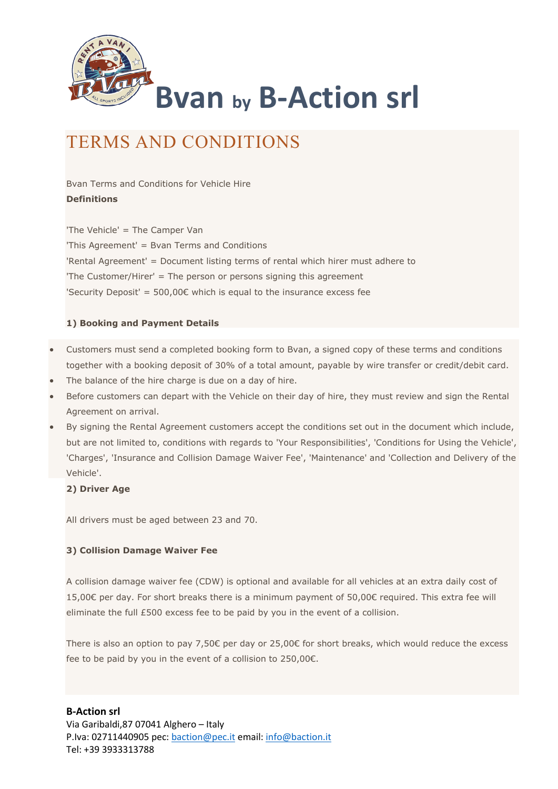

# TERMS AND CONDITIONS

Bvan Terms and Conditions for Vehicle Hire Definitions

'The Vehicle' = The Camper Van 'This Agreement' = Bvan Terms and Conditions 'Rental Agreement' = Document listing terms of rental which hirer must adhere to 'The Customer/Hirer' = The person or persons signing this agreement 'Security Deposit' =  $500,00$ € which is equal to the insurance excess fee

#### 1) Booking and Payment Details

- Customers must send a completed booking form to Bvan, a signed copy of these terms and conditions together with a booking deposit of 30% of a total amount, payable by wire transfer or credit/debit card.
- The balance of the hire charge is due on a day of hire.
- Before customers can depart with the Vehicle on their day of hire, they must review and sign the Rental Agreement on arrival.
- By signing the Rental Agreement customers accept the conditions set out in the document which include, but are not limited to, conditions with regards to 'Your Responsibilities', 'Conditions for Using the Vehicle', 'Charges', 'Insurance and Collision Damage Waiver Fee', 'Maintenance' and 'Collection and Delivery of the Vehicle'.

#### 2) Driver Age

All drivers must be aged between 23 and 70.

#### 3) Collision Damage Waiver Fee

A collision damage waiver fee (CDW) is optional and available for all vehicles at an extra daily cost of 15,00€ per day. For short breaks there is a minimum payment of 50,00€ required. This extra fee will eliminate the full £500 excess fee to be paid by you in the event of a collision.

There is also an option to pay 7,50€ per day or 25,00€ for short breaks, which would reduce the excess fee to be paid by you in the event of a collision to 250,00€.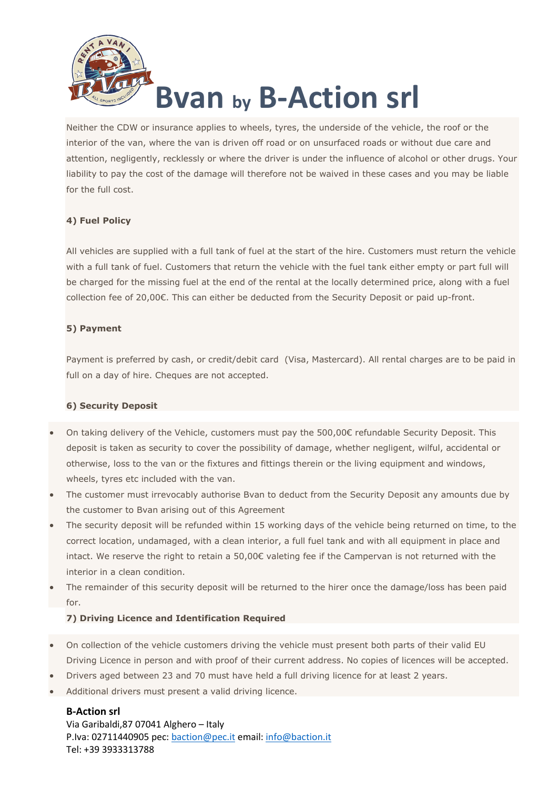

Neither the CDW or insurance applies to wheels, tyres, the underside of the vehicle, the roof or the interior of the van, where the van is driven off road or on unsurfaced roads or without due care and attention, negligently, recklessly or where the driver is under the influence of alcohol or other drugs. Your liability to pay the cost of the damage will therefore not be waived in these cases and you may be liable for the full cost.

## 4) Fuel Policy

All vehicles are supplied with a full tank of fuel at the start of the hire. Customers must return the vehicle with a full tank of fuel. Customers that return the vehicle with the fuel tank either empty or part full will be charged for the missing fuel at the end of the rental at the locally determined price, along with a fuel collection fee of 20,00€. This can either be deducted from the Security Deposit or paid up-front.

## 5) Payment

Payment is preferred by cash, or credit/debit card (Visa, Mastercard). All rental charges are to be paid in full on a day of hire. Cheques are not accepted.

## 6) Security Deposit

- On taking delivery of the Vehicle, customers must pay the 500,00€ refundable Security Deposit. This deposit is taken as security to cover the possibility of damage, whether negligent, wilful, accidental or otherwise, loss to the van or the fixtures and fittings therein or the living equipment and windows, wheels, tyres etc included with the van.
- The customer must irrevocably authorise Bvan to deduct from the Security Deposit any amounts due by the customer to Bvan arising out of this Agreement
- The security deposit will be refunded within 15 working days of the vehicle being returned on time, to the correct location, undamaged, with a clean interior, a full fuel tank and with all equipment in place and intact. We reserve the right to retain a 50,00€ valeting fee if the Campervan is not returned with the interior in a clean condition.
- The remainder of this security deposit will be returned to the hirer once the damage/loss has been paid for.

## 7) Driving Licence and Identification Required

- On collection of the vehicle customers driving the vehicle must present both parts of their valid EU Driving Licence in person and with proof of their current address. No copies of licences will be accepted.
- Drivers aged between 23 and 70 must have held a full driving licence for at least 2 years.
- Additional drivers must present a valid driving licence.

## B-Action srl

Via Garibaldi,87 07041 Alghero – Italy P.Iva: 02711440905 pec: baction@pec.it email: info@baction.it Tel: +39 3933313788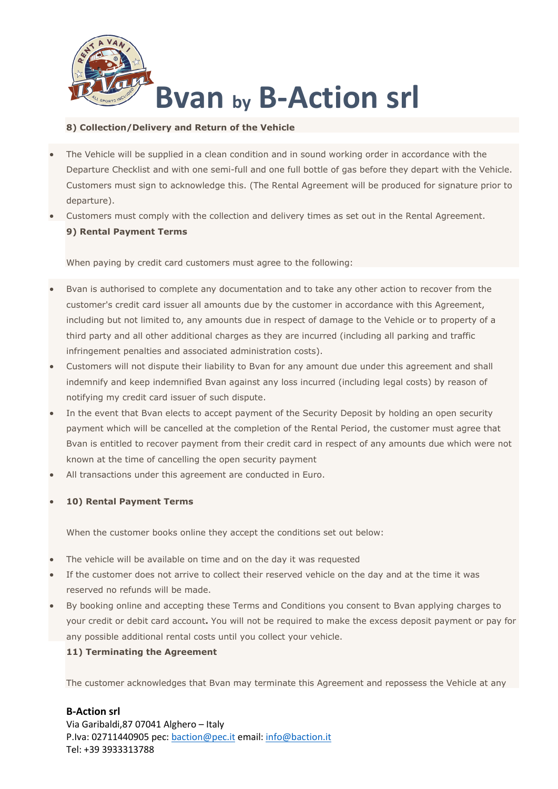

#### 8) Collection/Delivery and Return of the Vehicle

- The Vehicle will be supplied in a clean condition and in sound working order in accordance with the Departure Checklist and with one semi-full and one full bottle of gas before they depart with the Vehicle. Customers must sign to acknowledge this. (The Rental Agreement will be produced for signature prior to departure).
- Customers must comply with the collection and delivery times as set out in the Rental Agreement. 9) Rental Payment Terms

When paying by credit card customers must agree to the following:

- Bvan is authorised to complete any documentation and to take any other action to recover from the customer's credit card issuer all amounts due by the customer in accordance with this Agreement, including but not limited to, any amounts due in respect of damage to the Vehicle or to property of a third party and all other additional charges as they are incurred (including all parking and traffic infringement penalties and associated administration costs).
- Customers will not dispute their liability to Bvan for any amount due under this agreement and shall indemnify and keep indemnified Bvan against any loss incurred (including legal costs) by reason of notifying my credit card issuer of such dispute.
- In the event that Bvan elects to accept payment of the Security Deposit by holding an open security payment which will be cancelled at the completion of the Rental Period, the customer must agree that Bvan is entitled to recover payment from their credit card in respect of any amounts due which were not known at the time of cancelling the open security payment
- All transactions under this agreement are conducted in Euro.

#### 10) Rental Payment Terms

When the customer books online they accept the conditions set out below:

- The vehicle will be available on time and on the day it was requested
- If the customer does not arrive to collect their reserved vehicle on the day and at the time it was reserved no refunds will be made.
- By booking online and accepting these Terms and Conditions you consent to Bvan applying charges to your credit or debit card account. You will not be required to make the excess deposit payment or pay for any possible additional rental costs until you collect your vehicle.

#### 11) Terminating the Agreement

The customer acknowledges that Bvan may terminate this Agreement and repossess the Vehicle at any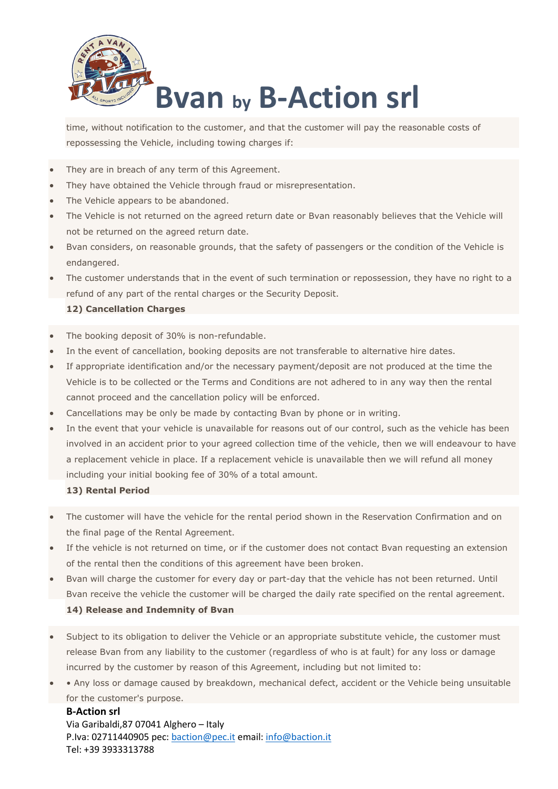

time, without notification to the customer, and that the customer will pay the reasonable costs of repossessing the Vehicle, including towing charges if:

- They are in breach of any term of this Agreement.
- They have obtained the Vehicle through fraud or misrepresentation.
- The Vehicle appears to be abandoned.
- The Vehicle is not returned on the agreed return date or Bvan reasonably believes that the Vehicle will not be returned on the agreed return date.
- Bvan considers, on reasonable grounds, that the safety of passengers or the condition of the Vehicle is endangered.
- The customer understands that in the event of such termination or repossession, they have no right to a refund of any part of the rental charges or the Security Deposit.

#### 12) Cancellation Charges

- The booking deposit of 30% is non-refundable.
- In the event of cancellation, booking deposits are not transferable to alternative hire dates.
- If appropriate identification and/or the necessary payment/deposit are not produced at the time the Vehicle is to be collected or the Terms and Conditions are not adhered to in any way then the rental cannot proceed and the cancellation policy will be enforced.
- Cancellations may be only be made by contacting Bvan by phone or in writing.
- In the event that your vehicle is unavailable for reasons out of our control, such as the vehicle has been involved in an accident prior to your agreed collection time of the vehicle, then we will endeavour to have a replacement vehicle in place. If a replacement vehicle is unavailable then we will refund all money including your initial booking fee of 30% of a total amount.

#### 13) Rental Period

- The customer will have the vehicle for the rental period shown in the Reservation Confirmation and on the final page of the Rental Agreement.
- If the vehicle is not returned on time, or if the customer does not contact Bvan requesting an extension of the rental then the conditions of this agreement have been broken.
- Bvan will charge the customer for every day or part-day that the vehicle has not been returned. Until Bvan receive the vehicle the customer will be charged the daily rate specified on the rental agreement. 14) Release and Indemnity of Bvan
- Subject to its obligation to deliver the Vehicle or an appropriate substitute vehicle, the customer must release Bvan from any liability to the customer (regardless of who is at fault) for any loss or damage incurred by the customer by reason of this Agreement, including but not limited to:
- Any loss or damage caused by breakdown, mechanical defect, accident or the Vehicle being unsuitable for the customer's purpose.

B-Action srl Via Garibaldi,87 07041 Alghero – Italy P.Iva: 02711440905 pec: baction@pec.it email: info@baction.it Tel: +39 3933313788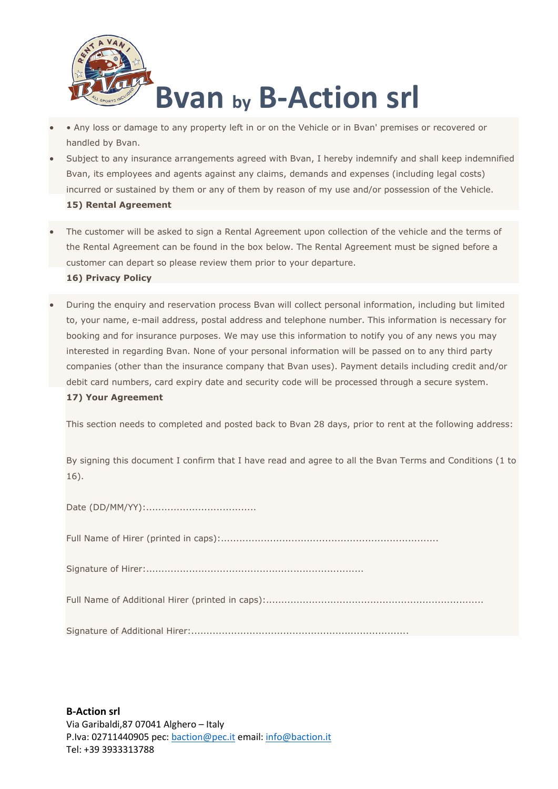

- Any loss or damage to any property left in or on the Vehicle or in Bvan' premises or recovered or handled by Bvan.
- Subject to any insurance arrangements agreed with Bvan, I hereby indemnify and shall keep indemnified Bvan, its employees and agents against any claims, demands and expenses (including legal costs) incurred or sustained by them or any of them by reason of my use and/or possession of the Vehicle. 15) Rental Agreement
- The customer will be asked to sign a Rental Agreement upon collection of the vehicle and the terms of the Rental Agreement can be found in the box below. The Rental Agreement must be signed before a customer can depart so please review them prior to your departure. 16) Privacy Policy
- During the enquiry and reservation process Bvan will collect personal information, including but limited to, your name, e-mail address, postal address and telephone number. This information is necessary for booking and for insurance purposes. We may use this information to notify you of any news you may interested in regarding Bvan. None of your personal information will be passed on to any third party companies (other than the insurance company that Bvan uses). Payment details including credit and/or debit card numbers, card expiry date and security code will be processed through a secure system.

#### 17) Your Agreement

This section needs to completed and posted back to Bvan 28 days, prior to rent at the following address:

By signing this document I confirm that I have read and agree to all the Bvan Terms and Conditions (1 to 16).

Date (DD/MM/YY):....................................

Full Name of Hirer (printed in caps):.......................................................................

Signature of Hirer:.......................................................................

Full Name of Additional Hirer (printed in caps):.......................................................................

Signature of Additional Hirer:.......................................................................

B-Action srl Via Garibaldi,87 07041 Alghero – Italy P.Iva: 02711440905 pec: baction@pec.it email: info@baction.it Tel: +39 3933313788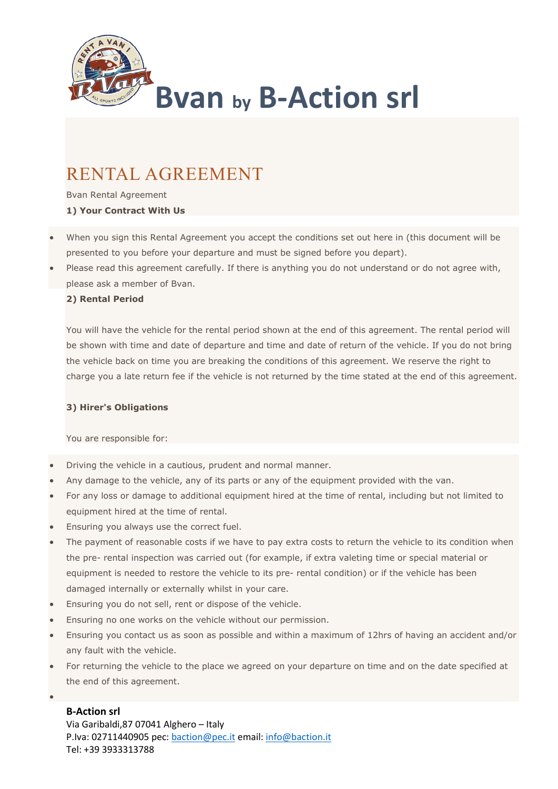

# RENTAL AGREEMENT

Bvan Rental Agreement 1) Your Contract With Us

- When you sign this Rental Agreement you accept the conditions set out here in (this document will be presented to you before your departure and must be signed before you depart).
- Please read this agreement carefully. If there is anything you do not understand or do not agree with, please ask a member of Bvan.

#### 2) Rental Period

You will have the vehicle for the rental period shown at the end of this agreement. The rental period will be shown with time and date of departure and time and date of return of the vehicle. If you do not bring the vehicle back on time you are breaking the conditions of this agreement. We reserve the right to charge you a late return fee if the vehicle is not returned by the time stated at the end of this agreement.

#### 3) Hirer's Obligations

You are responsible for:

- Driving the vehicle in a cautious, prudent and normal manner.
- Any damage to the vehicle, any of its parts or any of the equipment provided with the van.
- For any loss or damage to additional equipment hired at the time of rental, including but not limited to equipment hired at the time of rental.
- Ensuring you always use the correct fuel.
- The payment of reasonable costs if we have to pay extra costs to return the vehicle to its condition when the pre- rental inspection was carried out (for example, if extra valeting time or special material or equipment is needed to restore the vehicle to its pre- rental condition) or if the vehicle has been damaged internally or externally whilst in your care.
- Ensuring you do not sell, rent or dispose of the vehicle.
- Ensuring no one works on the vehicle without our permission.
- Ensuring you contact us as soon as possible and within a maximum of 12hrs of having an accident and/or any fault with the vehicle.
- For returning the vehicle to the place we agreed on your departure on time and on the date specified at the end of this agreement.

# B-Action srl

 $\bullet$ 

Via Garibaldi,87 07041 Alghero – Italy P.Iva: 02711440905 pec: baction@pec.it email: info@baction.it Tel: +39 3933313788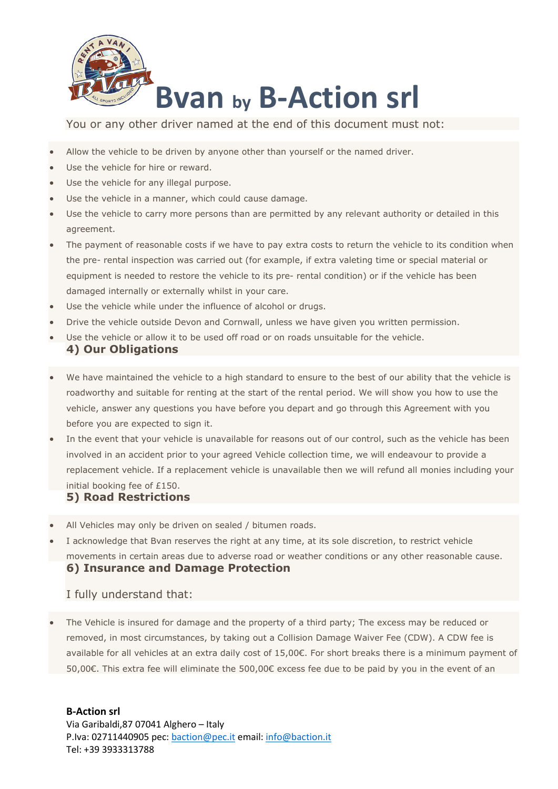

You or any other driver named at the end of this document must not:

- Allow the vehicle to be driven by anyone other than yourself or the named driver.
- Use the vehicle for hire or reward.
- Use the vehicle for any illegal purpose.
- Use the vehicle in a manner, which could cause damage.
- Use the vehicle to carry more persons than are permitted by any relevant authority or detailed in this agreement.
- The payment of reasonable costs if we have to pay extra costs to return the vehicle to its condition when the pre- rental inspection was carried out (for example, if extra valeting time or special material or equipment is needed to restore the vehicle to its pre- rental condition) or if the vehicle has been damaged internally or externally whilst in your care.
- Use the vehicle while under the influence of alcohol or drugs.
- Drive the vehicle outside Devon and Cornwall, unless we have given you written permission.
- Use the vehicle or allow it to be used off road or on roads unsuitable for the vehicle.

# 4) Our Obligations

- We have maintained the vehicle to a high standard to ensure to the best of our ability that the vehicle is roadworthy and suitable for renting at the start of the rental period. We will show you how to use the vehicle, answer any questions you have before you depart and go through this Agreement with you before you are expected to sign it.
- In the event that your vehicle is unavailable for reasons out of our control, such as the vehicle has been involved in an accident prior to your agreed Vehicle collection time, we will endeavour to provide a replacement vehicle. If a replacement vehicle is unavailable then we will refund all monies including your initial booking fee of £150.

## 5) Road Restrictions

- All Vehicles may only be driven on sealed / bitumen roads.
- I acknowledge that Bvan reserves the right at any time, at its sole discretion, to restrict vehicle movements in certain areas due to adverse road or weather conditions or any other reasonable cause. 6) Insurance and Damage Protection

## I fully understand that:

 The Vehicle is insured for damage and the property of a third party; The excess may be reduced or removed, in most circumstances, by taking out a Collision Damage Waiver Fee (CDW). A CDW fee is available for all vehicles at an extra daily cost of 15,00€. For short breaks there is a minimum payment of 50,00€. This extra fee will eliminate the 500,00€ excess fee due to be paid by you in the event of an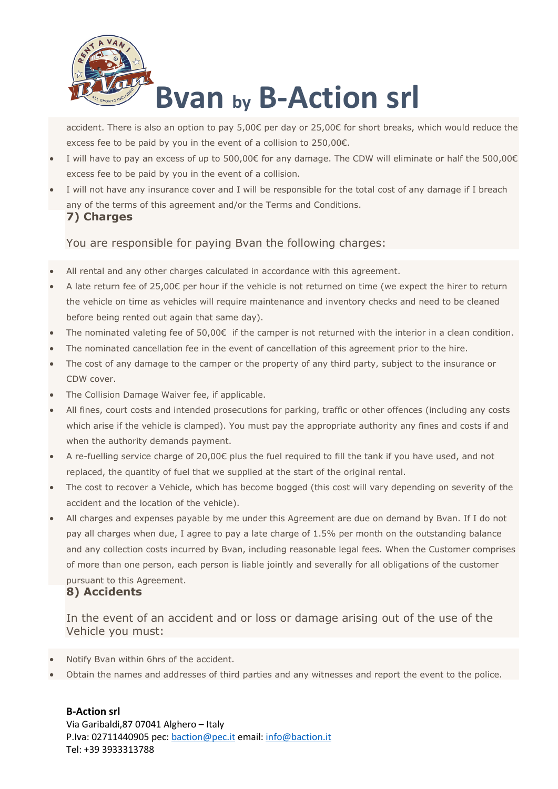

accident. There is also an option to pay 5,00€ per day or 25,00€ for short breaks, which would reduce the excess fee to be paid by you in the event of a collision to 250,00€.

- I will have to pay an excess of up to 500,00€ for any damage. The CDW will eliminate or half the 500,00€ excess fee to be paid by you in the event of a collision.
- I will not have any insurance cover and I will be responsible for the total cost of any damage if I breach any of the terms of this agreement and/or the Terms and Conditions. 7) Charges

You are responsible for paying Bvan the following charges:

- All rental and any other charges calculated in accordance with this agreement.
- A late return fee of 25,00€ per hour if the vehicle is not returned on time (we expect the hirer to return the vehicle on time as vehicles will require maintenance and inventory checks and need to be cleaned before being rented out again that same day).
- The nominated valeting fee of 50,00€ if the camper is not returned with the interior in a clean condition.
- The nominated cancellation fee in the event of cancellation of this agreement prior to the hire.
- The cost of any damage to the camper or the property of any third party, subject to the insurance or CDW cover.
- The Collision Damage Waiver fee, if applicable.
- All fines, court costs and intended prosecutions for parking, traffic or other offences (including any costs which arise if the vehicle is clamped). You must pay the appropriate authority any fines and costs if and when the authority demands payment.
- A re-fuelling service charge of 20,00€ plus the fuel required to fill the tank if you have used, and not replaced, the quantity of fuel that we supplied at the start of the original rental.
- The cost to recover a Vehicle, which has become bogged (this cost will vary depending on severity of the accident and the location of the vehicle).
- All charges and expenses payable by me under this Agreement are due on demand by Bvan. If I do not pay all charges when due, I agree to pay a late charge of 1.5% per month on the outstanding balance and any collection costs incurred by Bvan, including reasonable legal fees. When the Customer comprises of more than one person, each person is liable jointly and severally for all obligations of the customer pursuant to this Agreement.

# 8) Accidents

In the event of an accident and or loss or damage arising out of the use of the Vehicle you must:

- Notify Bvan within 6hrs of the accident.
- Obtain the names and addresses of third parties and any witnesses and report the event to the police.